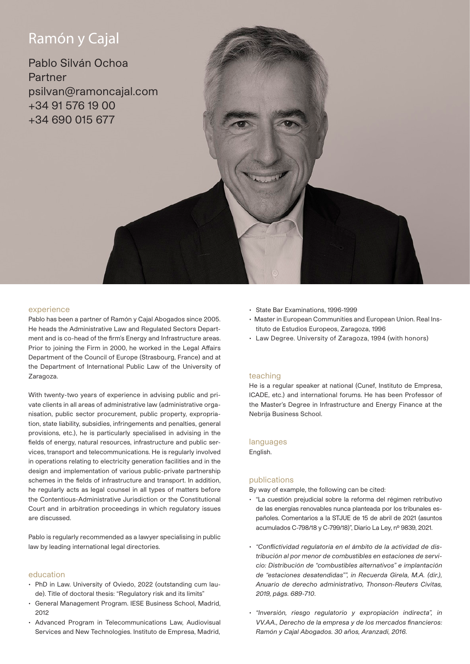# Ramón y Cajal

Pablo Silván Ochoa Partner psilvan@ramoncajal.com +34 91 576 19 00 +34 690 015 677

## experience

Pablo has been a partner of Ramón y Cajal Abogados since 2005. He heads the Administrative Law and Regulated Sectors Department and is co-head of the firm's Energy and Infrastructure areas. Prior to joining the Firm in 2000, he worked in the Legal Affairs Department of the Council of Europe (Strasbourg, France) and at the Department of International Public Law of the University of Zaragoza.

With twenty-two years of experience in advising public and private clients in all areas of administrative law (administrative organisation, public sector procurement, public property, expropriation, state liability, subsidies, infringements and penalties, general provisions, etc.), he is particularly specialised in advising in the fields of energy, natural resources, infrastructure and public services, transport and telecommunications. He is regularly involved in operations relating to electricity generation facilities and in the design and implementation of various public-private partnership schemes in the fields of infrastructure and transport. In addition, he regularly acts as legal counsel in all types of matters before the Contentious-Administrative Jurisdiction or the Constitutional Court and in arbitration proceedings in which regulatory issues are discussed.

Pablo is regularly recommended as a lawyer specialising in public law by leading international legal directories.

# education

- PhD in Law. University of Oviedo, 2022 (outstanding cum laude). Title of doctoral thesis: "Regulatory risk and its limits"
- General Management Program. IESE Business School, Madrid, 2012
- Advanced Program in Telecommunications Law, Audiovisual Services and New Technologies. Instituto de Empresa, Madrid,
- State Bar Examinations, 1996-1999
- Master in European Communities and European Union. Real Instituto de Estudios Europeos, Zaragoza, 1996
- Law Degree. University of Zaragoza, 1994 (with honors)

#### teaching

He is a regular speaker at national (Cunef, Instituto de Empresa, ICADE, etc.) and international forums. He has been Professor of the Master's Degree in Infrastructure and Energy Finance at the Nebrija Business School.

#### languages

English.

# publications

By way of example, the following can be cited:

- "La cuestión prejudicial sobre la reforma del régimen retributivo de las energías renovables nunca planteada por los tribunales españoles. Comentarios a la STJUE de 15 de abril de 2021 (asuntos acumulados C-798/18 y C-799/18)", Diario La Ley, nº 9839, 2021.
- *"Conflictividad regulatoria en el ámbito de la actividad de distribución al por menor de combustibles en estaciones de servicio: Distribución de "combustibles alternativos" e implantación de "estaciones desatendidas"", in Recuerda Girela, M.A. (dir.), Anuario de derecho administrativo, Thonson-Reuters Civitas, 2019, págs. 689-710*.
- *"Inversión, riesgo regulatorio y expropiación indirecta", in VV.AA., Derecho de la empresa y de los mercados financieros: Ramón y Cajal Abogados. 30 años, Aranzadi, 2016.*